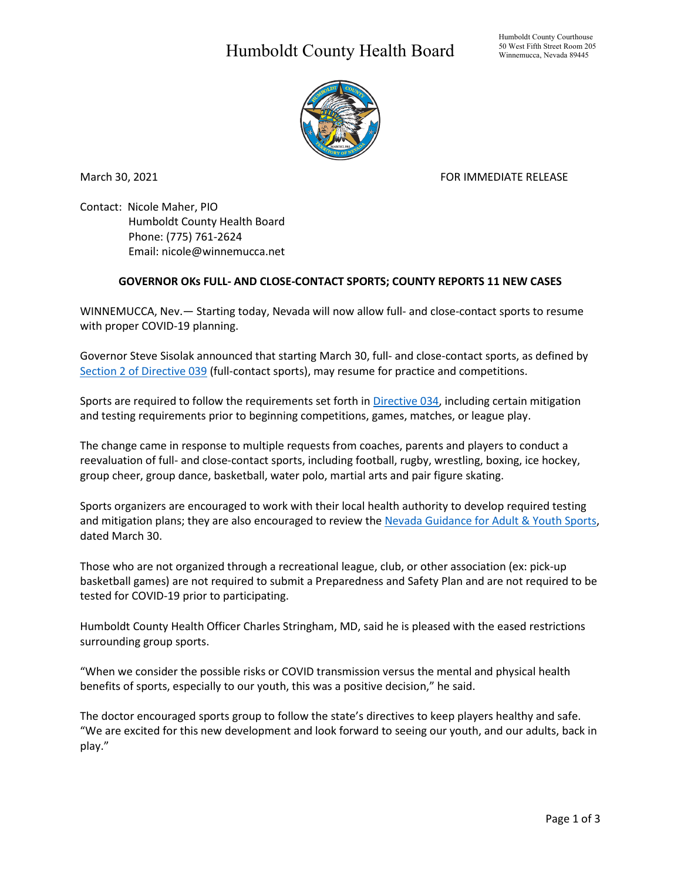## Humboldt County Health Board



March 30, 2021 **FOR IMMEDIATE RELEASE** 

Contact: Nicole Maher, PIO Humboldt County Health Board Phone: (775) 761-2624 Email: nicole@winnemucca.net

## **GOVERNOR OKs FULL- AND CLOSE-CONTACT SPORTS; COUNTY REPORTS 11 NEW CASES**

WINNEMUCCA, Nev.— Starting today, Nevada will now allow full- and close-contact sports to resume with proper COVID-19 planning.

Governor Steve Sisolak announced that starting March 30, full- and close-contact sports, as defined by [Section 2 of Directive 039](https://nvhealthresponse.nv.gov/wp-content/uploads/2021/03/Declaration-of-Emergency-Directive-039.pdf) (full-contact sports), may resume for practice and competitions.

Sports are required to follow the requirements set forth i[n Directive 034,](https://nvhealthresponse.nv.gov/wp-content/uploads/2020/10/Declaration-of-Emergency-Directive-034.pdf) including certain mitigation and testing requirements prior to beginning competitions, games, matches, or league play.

The change came in response to multiple requests from coaches, parents and players to conduct a reevaluation of full- and close-contact sports, including football, rugby, wrestling, boxing, ice hockey, group cheer, group dance, basketball, water polo, martial arts and pair figure skating.

Sports organizers are encouraged to work with their local health authority to develop required testing and mitigation plans; they are also encouraged to review the [Nevada Guidance for Adult & Youth Sports,](https://urldefense.proofpoint.com/v2/url?u=https-3A__nvhealthresponse.nv.gov_wp-2Dcontent_uploads_2021_03_Adult-2Dyouth-2Dsports-2Dguidance-5FMarch-2D30-5F.pdf&d=DwMF-g&c=aLv4kG3eFBuAUFgZFQ07JQ&r=C87sqxbevjVmmUWUN85Mlg&m=KQV0RAkSLWCwLNX6FlCepFkttxNMRQHIJErE2r-pwDw&s=FH5tfO_FIP0dPe_jjNTPMgn2q4jCW836OxhN3xc6JNg&e=) dated March 30.

Those who are not organized through a recreational league, club, or other association (ex: pick-up basketball games) are not required to submit a Preparedness and Safety Plan and are not required to be tested for COVID-19 prior to participating.

Humboldt County Health Officer Charles Stringham, MD, said he is pleased with the eased restrictions surrounding group sports.

"When we consider the possible risks or COVID transmission versus the mental and physical health benefits of sports, especially to our youth, this was a positive decision," he said.

The doctor encouraged sports group to follow the state's directives to keep players healthy and safe. "We are excited for this new development and look forward to seeing our youth, and our adults, back in play."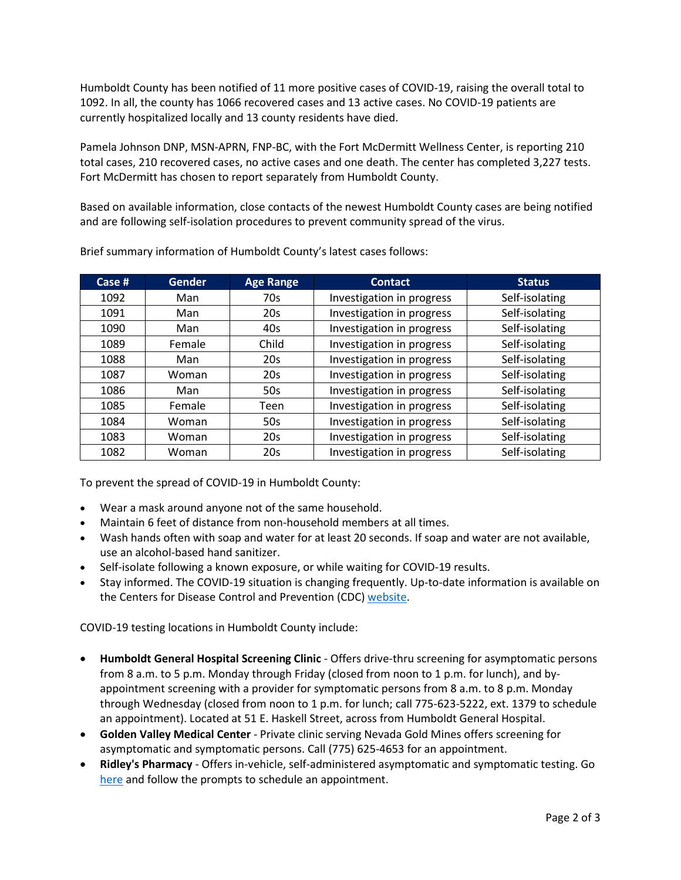Humboldt County has been notified of 11 more positive cases of COVID-19, raising the overall total to 1092. In all, the county has 1066 recovered cases and 13 active cases. No COVID-19 patients are currently hospitalized locally and 13 county residents have died.

Pamela Johnson DNP, MSN-APRN, FNP-BC, with the Fort McDermitt Wellness Center, is reporting 210 total cases, 210 recovered cases, no active cases and one death. The center has completed 3,227 tests. Fort McDermitt has chosen to report separately from Humboldt County.

Based on available information, close contacts of the newest Humboldt County cases are being notified and are following self-isolation procedures to prevent community spread of the virus.

| Case # | <b>Gender</b> | <b>Age Range</b> | <b>Contact</b>            | <b>Status</b>  |
|--------|---------------|------------------|---------------------------|----------------|
| 1092   | Man           | 70s              | Investigation in progress | Self-isolating |
| 1091   | Man           | 20s              | Investigation in progress | Self-isolating |
| 1090   | Man           | 40s              | Investigation in progress | Self-isolating |
| 1089   | Female        | Child            | Investigation in progress | Self-isolating |
| 1088   | Man           | 20s              | Investigation in progress | Self-isolating |
| 1087   | Woman         | 20s              | Investigation in progress | Self-isolating |
| 1086   | Man           | 50s              | Investigation in progress | Self-isolating |
| 1085   | Female        | Teen             | Investigation in progress | Self-isolating |
| 1084   | Woman         | 50s              | Investigation in progress | Self-isolating |
| 1083   | Woman         | 20s              | Investigation in progress | Self-isolating |
| 1082   | Woman         | 20 <sub>s</sub>  | Investigation in progress | Self-isolating |

Brief summary information of Humboldt County's latest cases follows:

To prevent the spread of COVID-19 in Humboldt County:

- Wear a mask around anyone not of the same household.
- Maintain 6 feet of distance from non-household members at all times.
- Wash hands often with soap and water for at least 20 seconds. If soap and water are not available, use an alcohol-based hand sanitizer.
- Self-isolate following a known exposure, or while waiting for COVID-19 results.
- Stay informed. The COVID-19 situation is changing frequently. Up-to-date information is available on the Centers for Disease Control and Prevention (CDC) [website.](http://www.cdc.gov/coronavirus/2019-ncov/index.html)

COVID-19 testing locations in Humboldt County include:

- **Humboldt General Hospital Screening Clinic** Offers drive-thru screening for asymptomatic persons from 8 a.m. to 5 p.m. Monday through Friday (closed from noon to 1 p.m. for lunch), and byappointment screening with a provider for symptomatic persons from 8 a.m. to 8 p.m. Monday through Wednesday (closed from noon to 1 p.m. for lunch; call 775-623-5222, ext. 1379 to schedule an appointment). Located at 51 E. Haskell Street, across from Humboldt General Hospital.
- **Golden Valley Medical Center** Private clinic serving Nevada Gold Mines offers screening for asymptomatic and symptomatic persons. Call (775) 625-4653 for an appointment.
- **Ridley's Pharmacy** Offers in-vehicle, self-administered asymptomatic and symptomatic testing. Go [here](https://www.doineedacovid19test.com/Winnemucca_NV_1098.html) and follow the prompts to schedule an appointment.